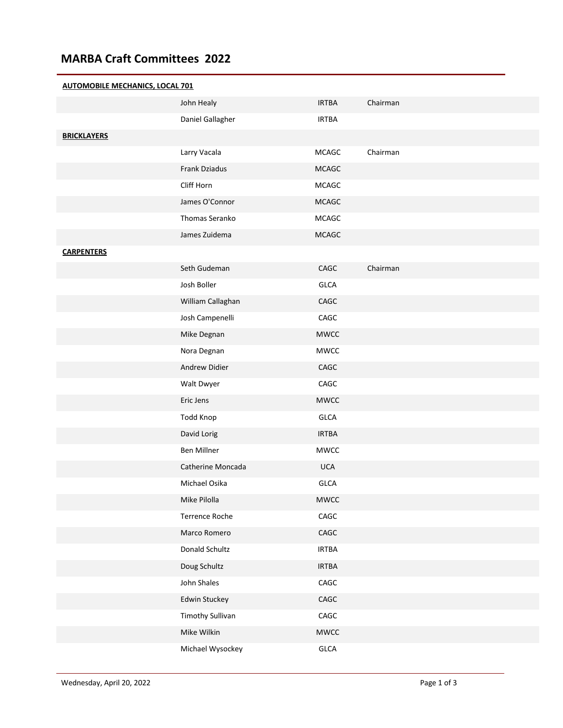## **MARBA Craft Committees 2022**

## **AUTOMOBILE MECHANICS, LOCAL 701** John Healy **IRTBA** Chairman Daniel Gallagher **IRTBA BRICKLAYERS** Larry Vacala **MCAGC** Chairman Frank Dziadus MCAGC Cliff Horn MCAGC James O'Connor MCAGC Thomas Seranko MCAGC James Zuidema MCAGC **CARPENTERS** Seth Gudeman CAGC Chairman Josh Boller GLCA William Callaghan CAGC Josh Campenelli CAGC Mike Degnan MWCC Nora Degnan MWCC Andrew Didier CAGC Walt Dwyer CAGC Eric Jens MWCC Todd Knop GLCA David Lorig **IRTBA** Ben Millner MWCC Catherine Moncada 

UCA Michael Osika GLCA Mike Pilolla MWCC Terrence Roche CAGC Marco Romero **CAGC** Donald Schultz **IRTBA** Doug Schultz **IRTBA** John Shales CAGC Edwin Stuckey **CAGC** Timothy Sullivan CAGC Mike Wilkin **MWCC** MWCC Michael Wysockey **GLCA**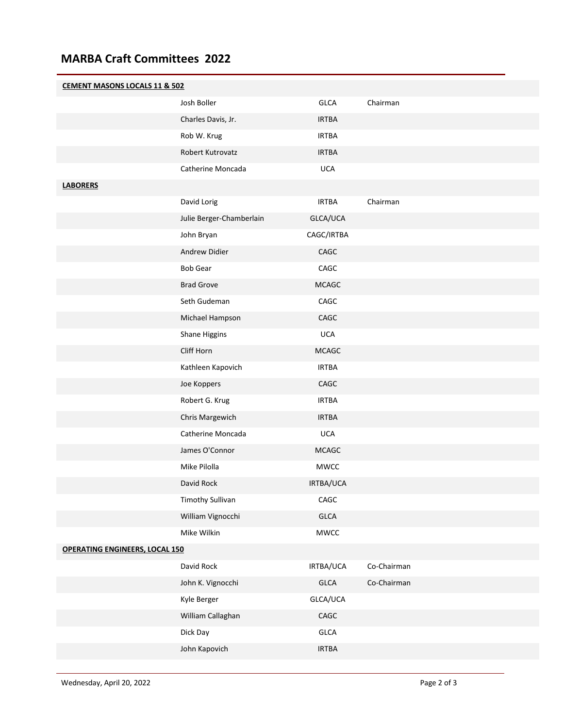## **MARBA Craft Committees 2022**

| <b>CEMENT MASONS LOCALS 11 &amp; 502</b> |                          |                 |             |  |
|------------------------------------------|--------------------------|-----------------|-------------|--|
|                                          | Josh Boller              | <b>GLCA</b>     | Chairman    |  |
|                                          | Charles Davis, Jr.       | <b>IRTBA</b>    |             |  |
|                                          | Rob W. Krug              | <b>IRTBA</b>    |             |  |
|                                          | Robert Kutrovatz         | <b>IRTBA</b>    |             |  |
|                                          | Catherine Moncada        | <b>UCA</b>      |             |  |
| <b>LABORERS</b>                          |                          |                 |             |  |
|                                          | David Lorig              | <b>IRTBA</b>    | Chairman    |  |
|                                          | Julie Berger-Chamberlain | GLCA/UCA        |             |  |
|                                          | John Bryan               | CAGC/IRTBA      |             |  |
|                                          | Andrew Didier            | CAGC            |             |  |
|                                          | <b>Bob Gear</b>          | CAGC            |             |  |
|                                          | <b>Brad Grove</b>        | <b>MCAGC</b>    |             |  |
|                                          | Seth Gudeman             | CAGC            |             |  |
|                                          | Michael Hampson          | CAGC            |             |  |
|                                          | Shane Higgins            | <b>UCA</b>      |             |  |
|                                          | Cliff Horn               | <b>MCAGC</b>    |             |  |
|                                          | Kathleen Kapovich        | <b>IRTBA</b>    |             |  |
|                                          | Joe Koppers              | $\mathsf{CAGC}$ |             |  |
|                                          | Robert G. Krug           | <b>IRTBA</b>    |             |  |
|                                          | Chris Margewich          | <b>IRTBA</b>    |             |  |
|                                          | Catherine Moncada        | <b>UCA</b>      |             |  |
|                                          | James O'Connor           | <b>MCAGC</b>    |             |  |
|                                          | Mike Pilolla             | MWCC            |             |  |
|                                          | David Rock               | IRTBA/UCA       |             |  |
|                                          | <b>Timothy Sullivan</b>  | $\mathsf{CAGC}$ |             |  |
|                                          | William Vignocchi        | GLCA            |             |  |
|                                          | Mike Wilkin              | <b>MWCC</b>     |             |  |
| <b>OPERATING ENGINEERS, LOCAL 150</b>    |                          |                 |             |  |
|                                          | David Rock               | IRTBA/UCA       | Co-Chairman |  |
|                                          | John K. Vignocchi        | GLCA            | Co-Chairman |  |
|                                          | Kyle Berger              | GLCA/UCA        |             |  |
|                                          | William Callaghan        | CAGC            |             |  |
|                                          | Dick Day                 | GLCA            |             |  |
|                                          | John Kapovich            | <b>IRTBA</b>    |             |  |